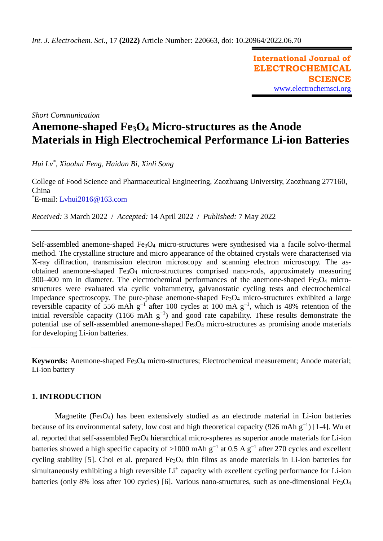**International Journal of ELECTROCHEMICAL SCIENCE** [www.electrochemsci.org](http://www.electrochemsci.org/)

## *Short Communication*

# **Anemone-shaped Fe3O<sup>4</sup> Micro-structures as the Anode Materials in High Electrochemical Performance Li-ion Batteries**

*Hui Lv\* , Xiaohui Feng, Haidan Bi, Xinli Song*

College of Food Science and Pharmaceutical Engineering, Zaozhuang University, Zaozhuang 277160, China \*E-mail: [Lvhui2016@163.com](mailto:Lvhui2016@163.com)

*Received:* 3 March 2022/ *Accepted:* 14 April 2022 / *Published:* 7 May 2022

Self-assembled anemone-shaped Fe<sub>3</sub>O<sub>4</sub> micro-structures were synthesised via a facile solvo-thermal method. The crystalline structure and micro appearance of the obtained crystals were characterised via X-ray diffraction, transmission electron microscopy and scanning electron microscopy. The asobtained anemone-shaped Fe3O<sup>4</sup> micro-structures comprised nano-rods, approximately measuring 300–400 nm in diameter. The electrochemical performances of the anemone-shaped Fe3O<sup>4</sup> microstructures were evaluated via cyclic voltammetry, galvanostatic cycling tests and electrochemical impedance spectroscopy. The pure-phase anemone-shaped Fe<sub>3</sub>O<sub>4</sub> micro-structures exhibited a large reversible capacity of 556 mAh g<sup>-1</sup> after 100 cycles at 100 mA g<sup>-1</sup>, which is 48% retention of the initial reversible capacity (1166 mAh  $g^{-1}$ ) and good rate capability. These results demonstrate the potential use of self-assembled anemone-shaped Fe<sub>3</sub>O<sub>4</sub> micro-structures as promising anode materials for developing Li-ion batteries.

**Keywords:** Anemone-shaped Fe<sub>3</sub>O<sub>4</sub> micro-structures; Electrochemical measurement; Anode material; Li-ion battery

## **1. INTRODUCTION**

Magnetite (Fe<sub>3</sub>O<sub>4</sub>) has been extensively studied as an electrode material in Li-ion batteries because of its environmental safety, low cost and high theoretical capacity (926 mAh  $g^{-1}$ ) [1-4]. Wu et al. reported that self-assembled Fe3O<sup>4</sup> hierarchical micro-spheres as superior anode materials for Li-ion batteries showed a high specific capacity of >1000 mAh  $g^{-1}$  at 0.5 A  $g^{-1}$  after 270 cycles and excellent cycling stability [5]. Choi et al. prepared Fe<sub>3</sub>O<sub>4</sub> thin films as anode materials in Li-ion batteries for simultaneously exhibiting a high reversible Li<sup>+</sup> capacity with excellent cycling performance for Li-ion batteries (only 8% loss after 100 cycles) [6]. Various nano-structures, such as one-dimensional Fe<sub>3</sub>O<sub>4</sub>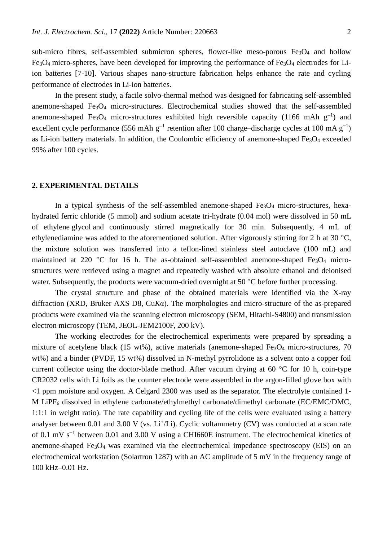sub-micro fibres, self-assembled submicron spheres, flower-like meso-porous  $Fe<sub>3</sub>O<sub>4</sub>$  and hollow  $Fe<sub>3</sub>O<sub>4</sub>$  micro-spheres, have been developed for improving the performance of  $Fe<sub>3</sub>O<sub>4</sub>$  electrodes for Liion batteries [7-10]. Various shapes nano-structure fabrication helps enhance the rate and cycling performance of electrodes in Li-ion batteries.

In the present study, a facile solvo-thermal method was designed for fabricating self-assembled anemone-shaped Fe3O<sup>4</sup> micro-structures. Electrochemical studies showed that the self-assembled anemone-shaped Fe<sub>3</sub>O<sub>4</sub> micro-structures exhibited high reversible capacity (1166 mAh  $g^{-1}$ ) and excellent cycle performance (556 mAh g<sup>-1</sup> retention after 100 charge–discharge cycles at 100 mA g<sup>-1</sup>) as Li-ion battery materials. In addition, the Coulombic efficiency of anemone-shaped Fe<sub>3</sub>O<sub>4</sub> exceeded 99% after 100 cycles.

#### **2. EXPERIMENTAL DETAILS**

In a typical synthesis of the self-assembled anemone-shaped  $Fe<sub>3</sub>O<sub>4</sub>$  micro-structures, hexahydrated ferric chloride (5 mmol) and sodium acetate tri-hydrate (0.04 mol) were dissolved in 50 mL of ethylene glycol and continuously stirred magnetically for 30 min. Subsequently, 4 mL of ethylenediamine was added to the aforementioned solution. After vigorously stirring for 2 h at 30  $^{\circ}$ C, the mixture solution was transferred into a teflon-lined stainless steel autoclave (100 mL) and maintained at 220  $^{\circ}$ C for 16 h. The as-obtained self-assembled anemone-shaped Fe<sub>3</sub>O<sub>4</sub> microstructures were retrieved using a magnet and repeatedly washed with absolute ethanol and deionised water. Subsequently, the products were vacuum-dried overnight at 50  $\degree$ C before further processing.

The crystal structure and phase of the obtained materials were identified via the X-ray diffraction (XRD, Bruker AXS D8, Cu*K*α). The morphologies and micro-structure of the as-prepared products were examined via the scanning electron microscopy (SEM, Hitachi-S4800) and transmission electron microscopy (TEM, JEOL-JEM2100F, 200 kV).

The working electrodes for the electrochemical experiments were prepared by spreading a mixture of acetylene black (15 wt%), active materials (anemone-shaped Fe<sub>3</sub>O<sub>4</sub> micro-structures, 70 wt%) and a binder (PVDF, 15 wt%) dissolved in N-methyl pyrrolidone as a solvent onto a copper foil current collector using the doctor-blade method. After vacuum drying at 60  $\degree$ C for 10 h, coin-type CR2032 cells with Li foils as the counter electrode were assembled in the argon-filled glove box with <1 ppm moisture and oxygen. A Celgard 2300 was used as the separator. The electrolyte contained 1- M LiPF<sub>6</sub> dissolved in ethylene carbonate/ethylmethyl carbonate/dimethyl carbonate (EC/EMC/DMC, 1:1:1 in weight ratio). The rate capability and cycling life of the cells were evaluated using a battery analyser between 0.01 and 3.00 V (vs. Li<sup>+</sup>/Li). Cyclic voltammetry (CV) was conducted at a scan rate of 0.1 mV s<sup>-1</sup> between 0.01 and 3.00 V using a CHI660E instrument. The electrochemical kinetics of anemone-shaped Fe3O<sup>4</sup> was examined via the electrochemical impedance spectroscopy (EIS) on an electrochemical workstation (Solartron 1287) with an AC amplitude of 5 mV in the frequency range of 100 kHz–0.01 Hz.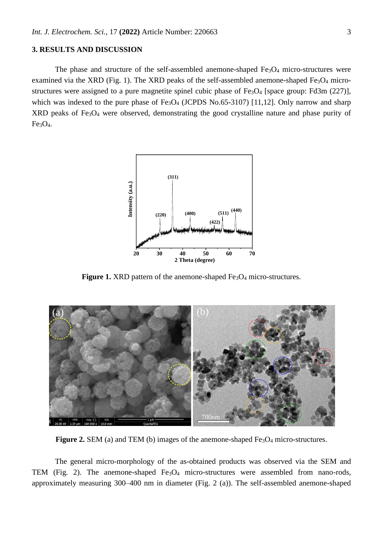### **3. RESULTS AND DISCUSSION**

The phase and structure of the self-assembled anemone-shaped  $Fe<sub>3</sub>O<sub>4</sub>$  micro-structures were examined via the XRD (Fig. 1). The XRD peaks of the self-assembled anemone-shaped Fe<sub>3</sub>O<sub>4</sub> microstructures were assigned to a pure magnetite spinel cubic phase of  $Fe<sub>3</sub>O<sub>4</sub>$  [space group: Fd3m (227)], which was indexed to the pure phase of  $Fe<sub>3</sub>O<sub>4</sub>$  (JCPDS No.65-3107) [11,12]. Only narrow and sharp XRD peaks of Fe3O<sup>4</sup> were observed, demonstrating the good crystalline nature and phase purity of Fe<sub>3</sub>O<sub>4</sub>.



**Figure 1.** XRD pattern of the anemone-shaped Fe<sub>3</sub>O<sub>4</sub> micro-structures.



**Figure 2.** SEM (a) and TEM (b) images of the anemone-shaped Fe<sub>3</sub>O<sub>4</sub> micro-structures.

The general micro-morphology of the as-obtained products was observed via the SEM and TEM (Fig. 2). The anemone-shaped Fe<sub>3</sub>O<sub>4</sub> micro-structures were assembled from nano-rods, approximately measuring 300–400 nm in diameter (Fig. 2 (a)). The self-assembled anemone-shaped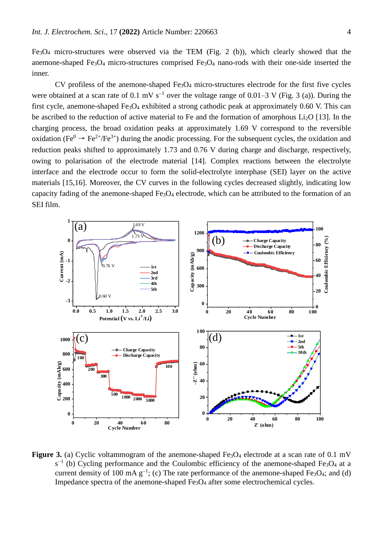Fe3O<sup>4</sup> micro-structures were observed via the TEM (Fig. 2 (b)), which clearly showed that the anemone-shaped Fe3O<sup>4</sup> micro-structures comprised Fe3O<sup>4</sup> nano-rods with their one-side inserted the inner.

 $CV$  profiless of the anemone-shaped  $Fe<sub>3</sub>O<sub>4</sub>$  micro-structures electrode for the first five cycles were obtained at a scan rate of 0.1 mV  $s^{-1}$  over the voltage range of 0.01–3 V (Fig. 3 (a)). During the first cycle, anemone-shaped  $Fe<sub>3</sub>O<sub>4</sub>$  exhibited a strong cathodic peak at approximately 0.60 V. This can be ascribed to the reduction of active material to Fe and the formation of amorphous  $Li_2O$  [13]. In the charging process, the broad oxidation peaks at approximately 1.69 V correspond to the reversible oxidation (Fe<sup>0</sup>  $\rightarrow$  Fe<sup>2+</sup>/Fe<sup>3+</sup>) during the anodic processing. For the subsequent cycles, the oxidation and reduction peaks shifted to approximately 1.73 and 0.76 V during charge and discharge, respectively, owing to polarisation of the electrode material [14]. Complex reactions between the electrolyte interface and the electrode occur to form the solid-electrolyte interphase (SEI) layer on the active materials [15,16]. Moreover, the CV curves in the following cycles decreased slightly, indicating low capacity fading of the anemone-shaped  $Fe<sub>3</sub>O<sub>4</sub>$  electrode, which can be attributed to the formation of an SEI film.



**Figure 3.** (a) Cyclic voltammogram of the anemone-shaped Fe<sub>3</sub>O<sub>4</sub> electrode at a scan rate of 0.1 mV  $s^{-1}$  (b) Cycling performance and the Coulombic efficiency of the anemone-shaped Fe<sub>3</sub>O<sub>4</sub> at a current density of 100 mA  $g^{-1}$ ; (c) The rate performance of the anemone-shaped Fe<sub>3</sub>O<sub>4</sub>; and (d) Impedance spectra of the anemone-shaped  $Fe<sub>3</sub>O<sub>4</sub>$  after some electrochemical cycles.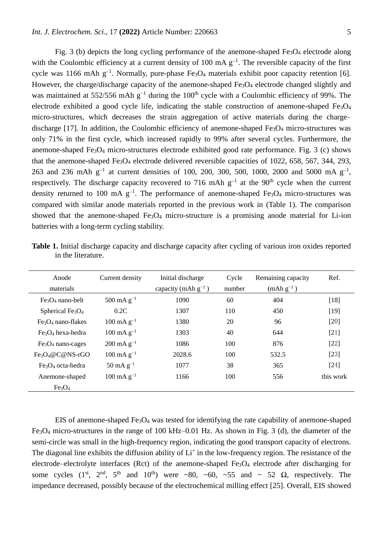Fig. 3 (b) depicts the long cycling performance of the anemone-shaped  $Fe<sub>3</sub>O<sub>4</sub>$  electrode along with the Coulombic efficiency at a current density of 100 mA  $g^{-1}$ . The reversible capacity of the first cycle was 1166 mAh  $g^{-1}$ . Normally, pure-phase Fe<sub>3</sub>O<sub>4</sub> materials exhibit poor capacity retention [6]. However, the charge/discharge capacity of the anemone-shaped Fe<sub>3</sub>O<sub>4</sub> electrode changed slightly and was maintained at 552/556 mAh  $g^{-1}$  during the 100<sup>th</sup> cycle with a Coulombic efficiency of 99%. The electrode exhibited a good cycle life, indicating the stable construction of anemone-shaped  $Fe<sub>3</sub>O<sub>4</sub>$ micro-structures, which decreases the strain aggregation of active materials during the charge– discharge  $[17]$ . In addition, the Coulombic efficiency of anemone-shaped Fe<sub>3</sub>O<sub>4</sub> micro-structures was only 71% in the first cycle, which increased rapidly to 99% after several cycles. Furthermore, the anemone-shaped Fe3O<sup>4</sup> micro-structures electrode exhibited good rate performance. Fig. 3 (c) shows that the anemone-shaped Fe3O<sup>4</sup> electrode delivered reversible capacities of 1022, 658, 567, 344, 293, 263 and 236 mAh  $g^{-1}$  at current densities of 100, 200, 300, 500, 1000, 2000 and 5000 mA  $g^{-1}$ , respectively. The discharge capacity recovered to 716 mAh  $g^{-1}$  at the 90<sup>th</sup> cycle when the current density returned to 100 mA  $g^{-1}$ . The performance of anemone-shaped Fe<sub>3</sub>O<sub>4</sub> micro-structures was compared with similar anode materials reported in the previous work in (Table 1). The comparison showed that the anemone-shaped  $Fe<sub>3</sub>O<sub>4</sub>$  micro-structure is a promising anode material for Li-ion batteries with a long-term cycling stability.

| Anode                                    | Current density                 | Initial discharge        | Cycle  | Remaining capacity | Ref.      |
|------------------------------------------|---------------------------------|--------------------------|--------|--------------------|-----------|
| materials                                |                                 | capacity (mAh $g^{-1}$ ) | number | $(mAh g^{-1})$     |           |
| $Fe3O4$ nano-belt                        | 500 mA $g^{-1}$                 | 1090                     | 60     | 404                | [18]      |
| Spherical Fe <sub>3</sub> O <sub>4</sub> | 0.2C                            | 1307                     | 110    | 450                | $[19]$    |
| $Fe3O4$ nano-flakes                      | $100 \text{ mA } \text{g}^{-1}$ | 1380                     | 20     | 96                 | [20]      |
| $Fe3O4 hexa-hedra$                       | $100 \text{ mA } \text{g}^{-1}$ | 1303                     | 40     | 644                | $[21]$    |
| $Fe3O4$ nano-cages                       | $200 \text{ mA } \text{g}^{-1}$ | 1086                     | 100    | 876                | $[22]$    |
| $Fe3O4@C@NS-rGO$                         | $100 \text{ mA } g^{-1}$        | 2028.6                   | 100    | 532.5              | [23]      |
| $Fe3O4 octa-hedra$                       | 50 mA $g^{-1}$                  | 1077                     | 38     | 365                | [24]      |
| Anemone-shaped                           | $100 \text{ mA } g^{-1}$        | 1166                     | 100    | 556                | this work |
| Fe <sub>3</sub> O <sub>4</sub>           |                                 |                          |        |                    |           |

**Table 1.** Initial discharge capacity and discharge capacity after cycling of various iron oxides reported in the literature.

EIS of anemone-shaped  $Fe<sub>3</sub>O<sub>4</sub>$  was tested for identifying the rate capability of anemone-shaped Fe3O<sup>4</sup> micro-structures in the range of 100 kHz–0.01 Hz. As shown in Fig. 3 (d), the diameter of the semi-circle was small in the high-frequency region, indicating the good transport capacity of electrons. The diagonal line exhibits the diffusion ability of Li<sup>+</sup> in the low-frequency region. The resistance of the electrode–electrolyte interfaces (Rct) of the anemone-shaped  $Fe<sub>3</sub>O<sub>4</sub>$  electrode after discharging for some cycles  $(1^{st}, 2^{nd}, 5^{th}$  and  $10^{th}$ ) were ~80, ~60, ~55 and ~ 52  $\Omega$ , respectively. The impedance decreased, possibly because of the electrochemical milling effect [25]. Overall, EIS showed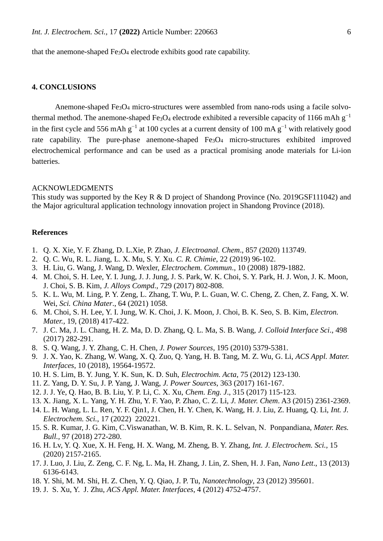that the anemone-shaped Fe3O<sup>4</sup> electrode exhibits good rate capability.

#### **4. CONCLUSIONS**

Anemone-shaped Fe<sub>3</sub>O<sub>4</sub> micro-structures were assembled from nano-rods using a facile solvothermal method. The anemone-shaped Fe<sub>3</sub>O<sub>4</sub> electrode exhibited a reversible capacity of 1166 mAh g<sup>-1</sup> in the first cycle and 556 mAh g<sup>-1</sup> at 100 cycles at a current density of 100 mA g<sup>-1</sup> with relatively good rate capability. The pure-phase anemone-shaped  $Fe<sub>3</sub>O<sub>4</sub>$  micro-structures exhibited improved electrochemical performance and can be used as a practical promising anode materials for Li-ion batteries.

#### ACKNOWLEDGMENTS

This study was supported by the Key R & D project of Shandong Province (No. 2019GSF111042) and the Major agricultural application technology innovation project in Shandong Province (2018).

#### **References**

- 1. Q. X. Xie, Y. F. Zhang, D. L.Xie, P. Zhao, *J. Electroanal. Chem*., 857 (2020) 113749.
- 2. Q. C. Wu, R. L. Jiang, L. X. Mu, S. Y. Xu. *C. R. Chimie*, 22 (2019) 96-102.
- 3. H. Liu, G. Wang, J. Wang, D. Wexler, *Electrochem. Commun*., 10 (2008) 1879-1882.
- 4. M. Choi, S. H. Lee, Y. I. Jung, J. J. Jung, J. S. Park, W. K. Choi, S. Y. Park, H. J. Won, J. K. Moon, J. Choi, S. B. Kim, *J. Alloys Compd*., 729 (2017) 802-808.
- 5. K. L. Wu, M. Ling, P. Y. Zeng, L. Zhang, T. Wu, P. L. Guan, W. C. Cheng, Z. Chen, Z. Fang, X. W. Wei, *Sci. China Mater*., 64 (2021) 1058.
- 6. M. Choi, S. H. Lee, Y. I. Jung, W. K. Choi, J. K. Moon, J. Choi, B. K. Seo, S. B. Kim, *Electron. Mater.,* 19, (2018) 417-422.
- 7. J. C. Ma, J. L. Chang, H. Z. Ma, D. D. Zhang, Q. L. Ma, S. B. Wang, *J. Colloid Interface Sci*., 498 (2017) 282-291.
- 8. S. Q. Wang, J. Y. Zhang, C. H. Chen, *J. Power Sources*, 195 (2010) 5379-5381.
- 9. J. X. Yao, K. Zhang, W. Wang, X. Q. Zuo, Q. Yang, H. B. Tang, M. Z. Wu, G. Li, *ACS Appl. Mater. Interfaces*, 10 (2018), 19564-19572.
- 10. H. S. Lim, B. Y. Jung, Y. K. Sun, K. D. Suh, *Electrochim. Acta*, 75 (2012) 123-130.
- 11. Z. Yang, D. Y. Su, J. P. Yang, J. Wang, *J. Power Sources*, 363 (2017) 161-167.
- 12. J. J. Ye, Q. Hao, B. B. Liu, Y. P. Li, C. X. Xu, *Chem. Eng. J*., 315 (2017) 115-123.
- 13. X. Jiang, X. L. Yang, Y. H. Zhu, Y. F. Yao, P. Zhao, C. Z. Li, *J. Mater. Chem*. A3 (2015) 2361-2369.
- 14. L. H. Wang, L. L. Ren, Y. F. Qin1, J. Chen, H. Y. Chen, K. Wang, H. J. Liu, Z. Huang, Q. Li, *Int. J. Electrochem. Sci.*, 17 (2022) 220221.
- 15. S. R. Kumar, J. G. Kim, C.Viswanathan, W. B. Kim, R. K. L. Selvan, N. Ponpandiana, *Mater. Res. Bull.,* 97 (2018) 272-280.
- 16. H. Lv, Y. Q. Xue, X. H. Feng, H. X. Wang, M. Zheng, B. Y. Zhang, *Int. J. Electrochem. Sci.,* 15 (2020) 2157-2165.
- 17. J. Luo, J. Liu, Z. Zeng, C. F. Ng, L. Ma, H. Zhang, J. Lin, Z. Shen, H. J. Fan, *Nano Lett*., 13 (2013) 6136-6143.
- 18. Y. Shi, M. M. Shi, H. Z. Chen, Y. Q. Qiao, J. P. Tu, *Nanotechnology*, 23 (2012) 395601.
- 19. J. S. Xu, Y. J. Zhu, *ACS Appl. Mater. Interfaces*, 4 (2012) 4752-4757.